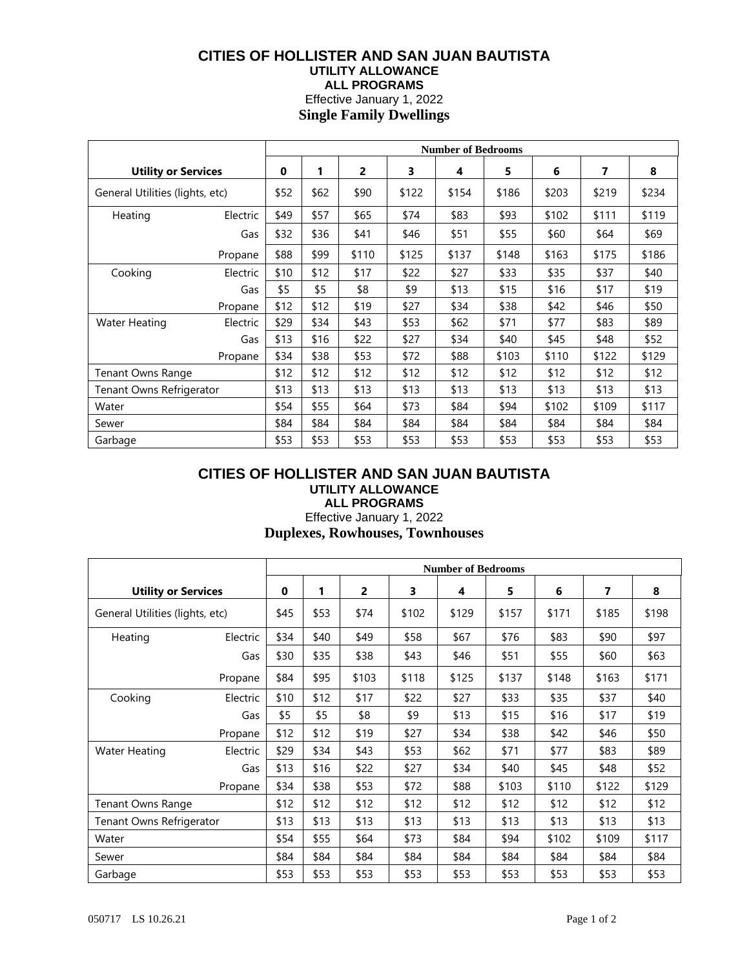## **CITIES OF HOLLISTER AND SAN JUAN BAUTISTA UTILITY ALLOWANCE ALL PROGRAMS** Effective January 1, 2022

**Single Family Dwellings**

|                                 |          | <b>Number of Bedrooms</b> |      |       |       |       |       |       |       |       |
|---------------------------------|----------|---------------------------|------|-------|-------|-------|-------|-------|-------|-------|
| <b>Utility or Services</b>      |          | $\bf{0}$                  | 1    | 2     | 3     | 4     | 5     | 6     | 7     | 8     |
| General Utilities (lights, etc) |          | \$52                      | \$62 | \$90  | \$122 | \$154 | \$186 | \$203 | \$219 | \$234 |
| Heating                         | Electric | \$49                      | \$57 | \$65  | \$74  | \$83  | \$93  | \$102 | \$111 | \$119 |
|                                 | Gas      | \$32                      | \$36 | \$41  | \$46  | \$51  | \$55  | \$60  | \$64  | \$69  |
|                                 | Propane  | \$88                      | \$99 | \$110 | \$125 | \$137 | \$148 | \$163 | \$175 | \$186 |
| Cooking                         | Electric | \$10                      | \$12 | \$17  | \$22  | \$27  | \$33  | \$35  | \$37  | \$40  |
|                                 | Gas      | \$5                       | \$5  | \$8   | \$9   | \$13  | \$15  | \$16  | \$17  | \$19  |
|                                 | Propane  | \$12                      | \$12 | \$19  | \$27  | \$34  | \$38  | \$42  | \$46  | \$50  |
| <b>Water Heating</b>            | Electric | \$29                      | \$34 | \$43  | \$53  | \$62  | \$71  | \$77  | \$83  | \$89  |
|                                 | Gas      | \$13                      | \$16 | \$22  | \$27  | \$34  | \$40  | \$45  | \$48  | \$52  |
|                                 | Propane  | \$34                      | \$38 | \$53  | \$72  | \$88  | \$103 | \$110 | \$122 | \$129 |
| <b>Tenant Owns Range</b>        |          | \$12                      | \$12 | \$12  | \$12  | \$12  | \$12  | \$12  | \$12  | \$12  |
| Tenant Owns Refrigerator        |          | \$13                      | \$13 | \$13  | \$13  | \$13  | \$13  | \$13  | \$13  | \$13  |
| Water                           |          | \$54                      | \$55 | \$64  | \$73  | \$84  | \$94  | \$102 | \$109 | \$117 |
| Sewer                           |          | \$84                      | \$84 | \$84  | \$84  | \$84  | \$84  | \$84  | \$84  | \$84  |
| Garbage                         |          | \$53                      | \$53 | \$53  | \$53  | \$53  | \$53  | \$53  | \$53  | \$53  |

### **CITIES OF HOLLISTER AND SAN JUAN BAUTISTA UTILITY ALLOWANCE ALL PROGRAMS**

# Effective January 1, 2022 **Duplexes, Rowhouses, Townhouses**

|                                 |          | <b>Number of Bedrooms</b> |      |       |       |       |       |       |       |       |
|---------------------------------|----------|---------------------------|------|-------|-------|-------|-------|-------|-------|-------|
| <b>Utility or Services</b>      |          | $\mathbf 0$               | 1    | 2     | 3     | 4     | 5     | 6     | 7     | 8     |
| General Utilities (lights, etc) |          | \$45                      | \$53 | \$74  | \$102 | \$129 | \$157 | \$171 | \$185 | \$198 |
| Heating                         | Electric | \$34                      | \$40 | \$49  | \$58  | \$67  | \$76  | \$83  | \$90  | \$97  |
|                                 | Gas      | \$30                      | \$35 | \$38  | \$43  | \$46  | \$51  | \$55  | \$60  | \$63  |
|                                 | Propane  | \$84                      | \$95 | \$103 | \$118 | \$125 | \$137 | \$148 | \$163 | \$171 |
| Cooking                         | Electric | \$10                      | \$12 | \$17  | \$22  | \$27  | \$33  | \$35  | \$37  | \$40  |
|                                 | Gas      | \$5                       | \$5  | \$8   | \$9   | \$13  | \$15  | \$16  | \$17  | \$19  |
|                                 | Propane  | \$12                      | \$12 | \$19  | \$27  | \$34  | \$38  | \$42  | \$46  | \$50  |
| <b>Water Heating</b>            | Electric | \$29                      | \$34 | \$43  | \$53  | \$62  | \$71  | \$77  | \$83  | \$89  |
|                                 | Gas      | \$13                      | \$16 | \$22  | \$27  | \$34  | \$40  | \$45  | \$48  | \$52  |
|                                 | Propane  | \$34                      | \$38 | \$53  | \$72  | \$88  | \$103 | \$110 | \$122 | \$129 |
| <b>Tenant Owns Range</b>        |          | \$12                      | \$12 | \$12  | \$12  | \$12  | \$12  | \$12  | \$12  | \$12  |
| Tenant Owns Refrigerator        |          | \$13                      | \$13 | \$13  | \$13  | \$13  | \$13  | \$13  | \$13  | \$13  |
| Water                           |          | \$54                      | \$55 | \$64  | \$73  | \$84  | \$94  | \$102 | \$109 | \$117 |
| Sewer                           |          | \$84                      | \$84 | \$84  | \$84  | \$84  | \$84  | \$84  | \$84  | \$84  |
| Garbage                         |          | \$53                      | \$53 | \$53  | \$53  | \$53  | \$53  | \$53  | \$53  | \$53  |